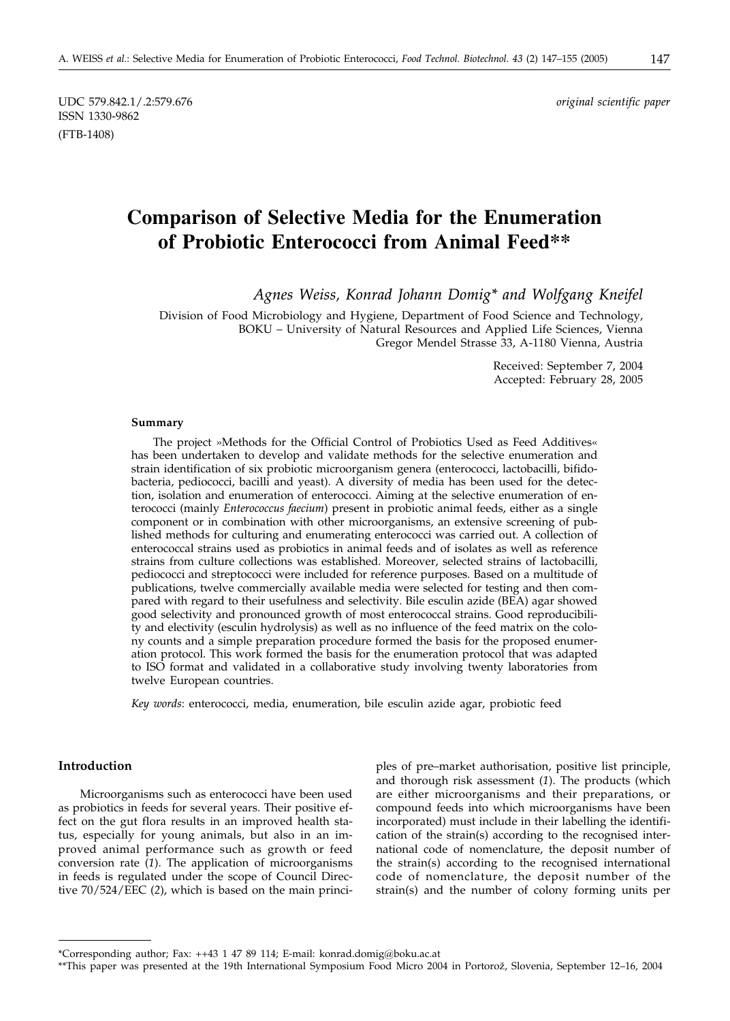UDC 579.842.1/.2:579.676 *original scientific paper* ISSN 1330-9862 (FTB-1408)

# **Comparison of Selective Media for the Enumeration of Probiotic Enterococci from Animal Feed\*\***

*Agnes Weiss, Konrad Johann Domig\* and Wolfgang Kneifel*

Division of Food Microbiology and Hygiene, Department of Food Science and Technology, BOKU – University of Natural Resources and Applied Life Sciences, Vienna Gregor Mendel Strasse 33, A-1180 Vienna, Austria

> Received: September 7, 2004 Accepted: February 28, 2005

#### **Summary**

The project »Methods for the Official Control of Probiotics Used as Feed Additives« has been undertaken to develop and validate methods for the selective enumeration and strain identification of six probiotic microorganism genera (enterococci, lactobacilli, bifidobacteria, pediococci, bacilli and yeast). A diversity of media has been used for the detection, isolation and enumeration of enterococci. Aiming at the selective enumeration of enterococci (mainly *Enterococcus faecium*) present in probiotic animal feeds, either as a single component or in combination with other microorganisms, an extensive screening of published methods for culturing and enumerating enterococci was carried out. A collection of enterococcal strains used as probiotics in animal feeds and of isolates as well as reference strains from culture collections was established. Moreover, selected strains of lactobacilli, pediococci and streptococci were included for reference purposes. Based on a multitude of publications, twelve commercially available media were selected for testing and then compared with regard to their usefulness and selectivity. Bile esculin azide (BEA) agar showed good selectivity and pronounced growth of most enterococcal strains. Good reproducibility and electivity (esculin hydrolysis) as well as no influence of the feed matrix on the colony counts and a simple preparation procedure formed the basis for the proposed enumeration protocol. This work formed the basis for the enumeration protocol that was adapted to ISO format and validated in a collaborative study involving twenty laboratories from twelve European countries.

*Key words*: enterococci, media, enumeration, bile esculin azide agar, probiotic feed

### **Introduction**

Microorganisms such as enterococci have been used as probiotics in feeds for several years. Their positive effect on the gut flora results in an improved health status, especially for young animals, but also in an improved animal performance such as growth or feed conversion rate (*1*). The application of microorganisms in feeds is regulated under the scope of Council Directive 70/524/EEC (*2*), which is based on the main principles of pre–market authorisation, positive list principle, and thorough risk assessment (*1*). The products (which are either microorganisms and their preparations, or compound feeds into which microorganisms have been incorporated) must include in their labelling the identification of the strain(s) according to the recognised international code of nomenclature, the deposit number of the strain(s) according to the recognised international code of nomenclature, the deposit number of the strain(s) and the number of colony forming units per

<sup>\*</sup>Corresponding author; Fax: ++43 1 47 89 114; E-mail: konrad.domig@boku.ac.at

<sup>\*\*</sup>This paper was presented at the 19th International Symposium Food Micro 2004 in Portorož, Slovenia, September 12–16, 2004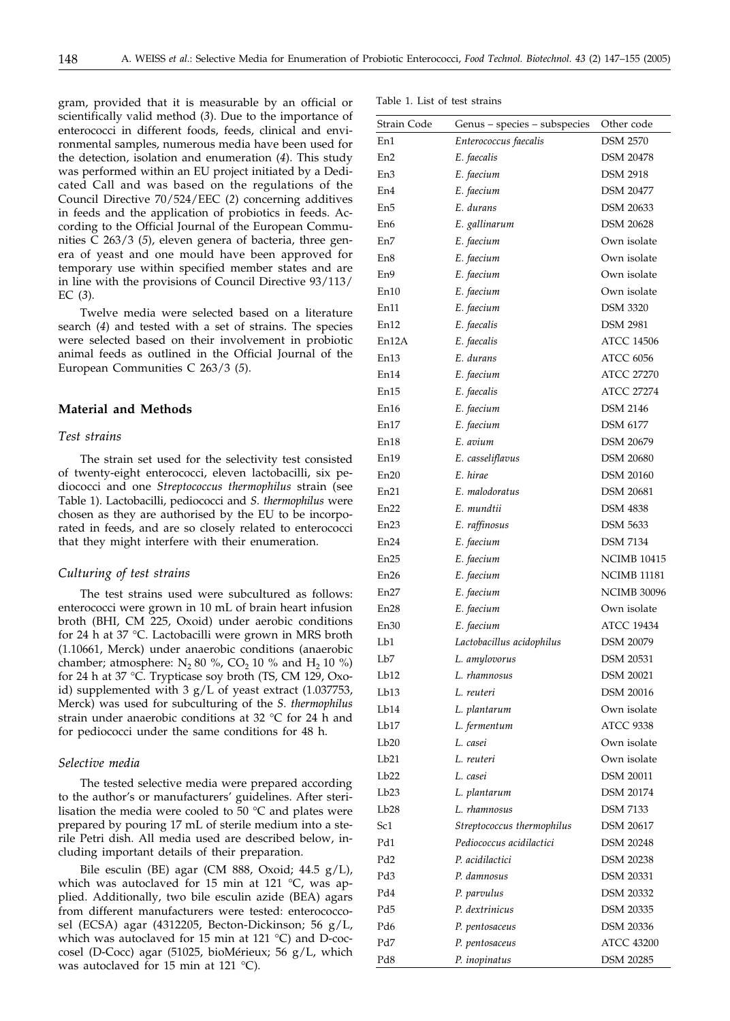gram, provided that it is measurable by an official or scientifically valid method (*3*). Due to the importance of enterococci in different foods, feeds, clinical and environmental samples, numerous media have been used for the detection, isolation and enumeration (*4*). This study was performed within an EU project initiated by a Dedicated Call and was based on the regulations of the Council Directive 70/524/EEC (*2*) concerning additives in feeds and the application of probiotics in feeds. According to the Official Journal of the European Communities C 263/3 (*5*), eleven genera of bacteria, three genera of yeast and one mould have been approved for temporary use within specified member states and are in line with the provisions of Council Directive 93/113/ EC (*3*).

Twelve media were selected based on a literature search (*4*) and tested with a set of strains. The species were selected based on their involvement in probiotic animal feeds as outlined in the Official Journal of the European Communities C 263/3 (*5*).

#### **Material and Methods**

### *Test strains*

The strain set used for the selectivity test consisted of twenty-eight enterococci, eleven lactobacilli, six pediococci and one *Streptococcus thermophilus* strain (see Table 1). Lactobacilli, pediococci and *S. thermophilus* were chosen as they are authorised by the EU to be incorporated in feeds, and are so closely related to enterococci that they might interfere with their enumeration.

#### *Culturing of test strains*

The test strains used were subcultured as follows: enterococci were grown in 10 mL of brain heart infusion broth (BHI, CM 225, Oxoid) under aerobic conditions for 24 h at 37 °C. Lactobacilli were grown in MRS broth (1.10661, Merck) under anaerobic conditions (anaerobic chamber; atmosphere:  $N_2$  80 %, CO<sub>2</sub> 10 % and H<sub>2</sub> 10 %) for 24 h at 37 °C. Trypticase soy broth (TS, CM 129, Oxoid) supplemented with 3 g/L of yeast extract (1.037753, Merck) was used for subculturing of the *S. thermophilus* strain under anaerobic conditions at 32 °C for 24 h and for pediococci under the same conditions for 48 h.

#### *Selective media*

The tested selective media were prepared according to the author's or manufacturers' guidelines. After sterilisation the media were cooled to 50 °C and plates were prepared by pouring 17 mL of sterile medium into a sterile Petri dish. All media used are described below, including important details of their preparation.

Bile esculin (BE) agar (CM 888, Oxoid;  $44.5$  g/L), which was autoclaved for 15 min at 121 °C, was applied. Additionally, two bile esculin azide (BEA) agars from different manufacturers were tested: enterococcosel (ECSA) agar (4312205, Becton-Dickinson; 56 g/L, which was autoclaved for 15 min at 121 °C) and D-coccosel (D-Cocc) agar (51025, bioMérieux; 56 g/L, which was autoclaved for 15 min at 121 °C).

| Strain Code | Genus - species - subspecies | Other code         |
|-------------|------------------------------|--------------------|
| En1         | Enterococcus faecalis        | <b>DSM 2570</b>    |
| En2         | E. faecalis                  | <b>DSM 20478</b>   |
| En3         | E. faecium                   | <b>DSM 2918</b>    |
| En4         | E. faecium                   | <b>DSM 20477</b>   |
| En5         | E. durans                    | <b>DSM 20633</b>   |
| En6         | E. gallinarum                | <b>DSM 20628</b>   |
| En7         | E. faecium                   | Own isolate        |
| En8         | E. faecium                   | Own isolate        |
| En9         | E. faecium                   | Own isolate        |
| En10        | E. faecium                   | Own isolate        |
| En11        | E. faecium                   | <b>DSM 3320</b>    |
| En12        | E. faecalis                  | <b>DSM 2981</b>    |
| En12A       | E. faecalis                  | <b>ATCC 14506</b>  |
| En13        | E. durans                    | <b>ATCC 6056</b>   |
| En14        | E. faecium                   | ATCC 27270         |
| En15        | E. faecalis                  | <b>ATCC 27274</b>  |
| En16        | E. faecium                   | <b>DSM 2146</b>    |
| En17        | E. faecium                   | <b>DSM 6177</b>    |
| En18        | E. avium                     | <b>DSM 20679</b>   |
| En19        | E. casseliflavus             | <b>DSM 20680</b>   |
| En20        | E. hirae                     | <b>DSM 20160</b>   |
| En21        | E. malodoratus               | <b>DSM 20681</b>   |
| En22        | E. mundtii                   | <b>DSM 4838</b>    |
| En23        | E. raffinosus                | <b>DSM 5633</b>    |
| En24        | E. faecium                   | <b>DSM 7134</b>    |
| En25        | E. faecium                   | <b>NCIMB 10415</b> |
| En26        | E. faecium                   | NCIMB 11181        |
| En27        | E. faecium                   | <b>NCIMB 30096</b> |
| En28        | E. faecium                   | Own isolate        |
| En30        | E. faecium                   | ATCC 19434         |
| Lb1         | Lactobacillus acidophilus    | <b>DSM 20079</b>   |
| Lb7         | L. amylovorus                | <b>DSM 20531</b>   |
| Lb12        | L. rhamnosus                 | <b>DSM 20021</b>   |
| Lb13        | L. reuteri                   | <b>DSM 20016</b>   |
| Lb14        | L. plantarum                 | Own isolate        |
| Lb17        | L. fermentum                 | <b>ATCC 9338</b>   |
| Lb20        | L. casei                     | Own isolate        |
| Lb21        | L. reuteri                   | Own isolate        |
| Lb22        | L. casei                     | <b>DSM 20011</b>   |
| Lb23        | L. plantarum                 | <b>DSM 20174</b>   |
| Lb28        | L. rhamnosus                 | <b>DSM 7133</b>    |
| Sc1         | Streptococcus thermophilus   | <b>DSM 20617</b>   |
| Pd1         | Pediococcus acidilactici     | <b>DSM 20248</b>   |
| Pd2         | P. acidilactici              | <b>DSM 20238</b>   |
| Pd3         | P. damnosus                  | DSM 20331          |
| Pd4         | P. parvulus                  | <b>DSM 20332</b>   |
| Pd5         | P. dextrinicus               | <b>DSM 20335</b>   |
| Pd6         | P. pentosaceus               | DSM 20336          |
| Pd7         | P. pentosaceus               | <b>ATCC 43200</b>  |
| Pd8         | P. inopinatus                | <b>DSM 20285</b>   |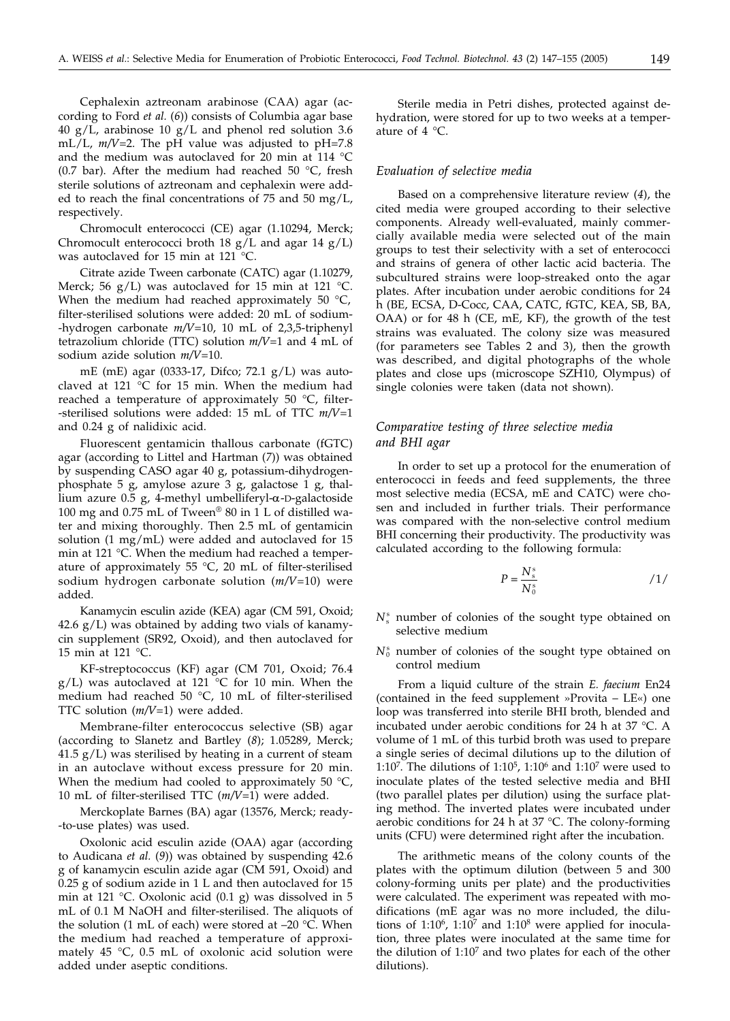Cephalexin aztreonam arabinose (CAA) agar (according to Ford *et al.* (*6*)) consists of Columbia agar base 40  $g/L$ , arabinose 10  $g/L$  and phenol red solution 3.6 mL/L, *m/V*=2. The pH value was adjusted to pH=7.8 and the medium was autoclaved for 20 min at 114 °C (0.7 bar). After the medium had reached 50  $^{\circ}$ C, fresh sterile solutions of aztreonam and cephalexin were added to reach the final concentrations of  $75$  and  $50 \text{ mg/L}$ , respectively.

Chromocult enterococci (CE) agar (1.10294, Merck; Chromocult enterococci broth 18  $g/L$  and agar 14  $g/L$ ) was autoclaved for 15 min at 121 °C.

Citrate azide Tween carbonate (CATC) agar (1.10279, Merck; 56 g/L) was autoclaved for 15 min at 121 °C. When the medium had reached approximately 50 °C, filter-sterilised solutions were added: 20 mL of sodium- -hydrogen carbonate *m/V*=10, 10 mL of 2,3,5-triphenyl tetrazolium chloride (TTC) solution *m/V*=1 and 4 mL of sodium azide solution *m/V*=10.

mE (mE) agar (0333-17, Difco; 72.1 g/L) was autoclaved at 121 °C for 15 min. When the medium had reached a temperature of approximately 50 °C, filter- -sterilised solutions were added: 15 mL of TTC *m/V*=1 and 0.24 g of nalidixic acid.

Fluorescent gentamicin thallous carbonate (fGTC) agar (according to Littel and Hartman (*7*)) was obtained by suspending CASO agar 40 g, potassium-dihydrogenphosphate 5 g, amylose azure 3 g, galactose 1 g, thallium azure 0.5 g, 4-methyl umbelliferyl-a-D-galactoside 100 mg and 0.75 mL of Tween® 80 in 1 L of distilled water and mixing thoroughly. Then 2.5 mL of gentamicin solution (1 mg/mL) were added and autoclaved for 15 min at 121 °C. When the medium had reached a temperature of approximately 55 °C, 20 mL of filter-sterilised sodium hydrogen carbonate solution (*m/V*=10) were added.

Kanamycin esculin azide (KEA) agar (CM 591, Oxoid;  $42.6$  g/L) was obtained by adding two vials of kanamycin supplement (SR92, Oxoid), and then autoclaved for 15 min at 121 °C.

KF-streptococcus (KF) agar (CM 701, Oxoid; 76.4  $g/L$ ) was autoclaved at 121 °C for 10 min. When the medium had reached 50 °C, 10 mL of filter-sterilised TTC solution (*m/V*=1) were added.

Membrane-filter enterococcus selective (SB) agar (according to Slanetz and Bartley (*8*); 1.05289, Merck;  $41.5$  g/L) was sterilised by heating in a current of steam in an autoclave without excess pressure for 20 min. When the medium had cooled to approximately 50  $\degree$ C, 10 mL of filter-sterilised TTC (*m/V*=1) were added.

Merckoplate Barnes (BA) agar (13576, Merck; ready- -to-use plates) was used.

Oxolonic acid esculin azide (OAA) agar (according to Audicana *et al.* (*9*)) was obtained by suspending 42.6 g of kanamycin esculin azide agar (CM 591, Oxoid) and 0.25 g of sodium azide in 1 L and then autoclaved for 15 min at 121 °C. Oxolonic acid (0.1 g) was dissolved in 5 mL of 0.1 M NaOH and filter-sterilised. The aliquots of the solution (1 mL of each) were stored at  $-20$  °C. When the medium had reached a temperature of approximately 45 °C, 0.5 mL of oxolonic acid solution were added under aseptic conditions.

Sterile media in Petri dishes, protected against dehydration, were stored for up to two weeks at a temperature of 4 °C.

#### *Evaluation of selective media*

Based on a comprehensive literature review (*4*), the cited media were grouped according to their selective components. Already well-evaluated, mainly commercially available media were selected out of the main groups to test their selectivity with a set of enterococci and strains of genera of other lactic acid bacteria. The subcultured strains were loop-streaked onto the agar plates. After incubation under aerobic conditions for 24 h (BE, ECSA, D-Cocc, CAA, CATC, fGTC, KEA, SB, BA, OAA) or for 48 h (CE, mE, KF), the growth of the test strains was evaluated. The colony size was measured (for parameters see Tables 2 and 3), then the growth was described, and digital photographs of the whole plates and close ups (microscope SZH10, Olympus) of single colonies were taken (data not shown).

### *Comparative testing of three selective media and BHI agar*

In order to set up a protocol for the enumeration of enterococci in feeds and feed supplements, the three most selective media (ECSA, mE and CATC) were chosen and included in further trials. Their performance was compared with the non-selective control medium BHI concerning their productivity. The productivity was calculated according to the following formula:

$$
P = \frac{N_s^s}{N_0^s} \tag{1/}
$$

- $N_s^s$  number of colonies of the sought type obtained on selective medium
- $N_0^s$  number of colonies of the sought type obtained on control medium

From a liquid culture of the strain *E. faecium* En24 (contained in the feed supplement »Provita – LE«) one loop was transferred into sterile BHI broth, blended and incubated under aerobic conditions for 24 h at 37 °C. A volume of 1 mL of this turbid broth was used to prepare a single series of decimal dilutions up to the dilution of 1:10<sup>7</sup>. The dilutions of 1:10<sup>5</sup>, 1:10<sup>6</sup> and 1:10<sup>7</sup> were used to inoculate plates of the tested selective media and BHI (two parallel plates per dilution) using the surface plating method. The inverted plates were incubated under aerobic conditions for 24 h at 37 °C. The colony-forming units (CFU) were determined right after the incubation.

The arithmetic means of the colony counts of the plates with the optimum dilution (between 5 and 300 colony-forming units per plate) and the productivities were calculated. The experiment was repeated with modifications (mE agar was no more included, the dilutions of  $1:10^6$ ,  $1:10^7$  and  $1:10^8$  were applied for inoculation, three plates were inoculated at the same time for the dilution of  $1:10<sup>7</sup>$  and two plates for each of the other dilutions).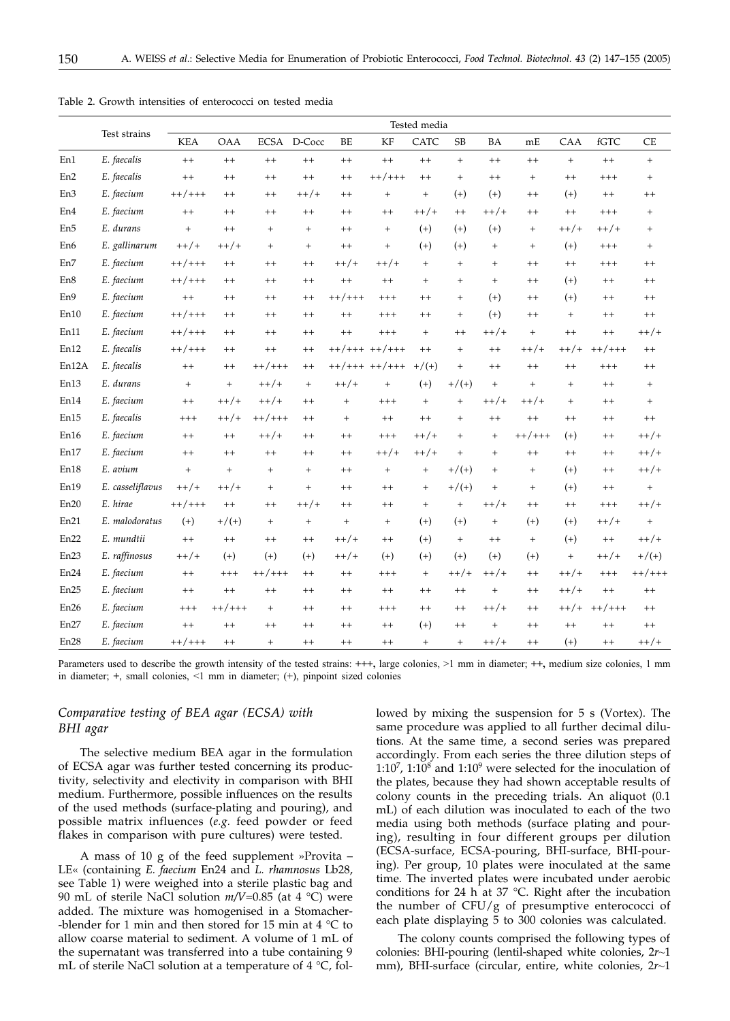|                 |                  | Tested media |                   |                   |                   |           |                   |           |           |                   |                   |         |          |                   |
|-----------------|------------------|--------------|-------------------|-------------------|-------------------|-----------|-------------------|-----------|-----------|-------------------|-------------------|---------|----------|-------------------|
|                 | Test strains     | <b>KEA</b>   | <b>OAA</b>        | <b>ECSA</b>       | D-Cocc            | BE        | KF                | CATC      | <b>SB</b> | <b>BA</b>         | mE                | CAA     | fGTC     | <b>CE</b>         |
| En1             | E. faecalis      | $^{++}$      | $^{++}$           | $^{++}$           | $^{++}$           | $^{++}$   | $++$              | $^{++}$   | $+$       | $^{++}$           | $^{++}$           | $+$     | $^{++}$  | $+$               |
| En <sub>2</sub> | E. faecalis      | $^{++}$      | $^{++}$           | $^{++}$           | $^{++}$           | $^{++}$   | $++/++$           | $^{++}$   | $+$       | $^{++}$           | $\qquad \qquad +$ | $^{++}$ | $^{+++}$ | $+$               |
| En3             | E. faecium       | $++/+++$     | $++$              | $^{++}$           | $++/+$            | $++$      | $\ddot{}$         | $+$       | $(+)$     | $(+)$             | $^{++}$           | $(+)$   | $^{++}$  | $^{++}$           |
| En4             | E. faecium       | $^{++}$      | $^{++}$           | $^{++}$           | $^{++}$           | $^{++}$   | $^{++}$           | $++/+$    | $^{++}$   | $++/+$            | $^{++}$           | $^{++}$ | $+++$    | $\qquad \qquad +$ |
| En <sub>5</sub> | E. durans        | $+$          | $^{++}$           | $+$               | $+$               | $++$      | $\ddot{}$         | $(+)$     | $(+)$     | $(+)$             | $\ddot{}$         | $++/+$  | $++/+$   | $+$               |
| En <sub>6</sub> | E. gallinarum    | $++/+$       | $++/+$            | $+$               | $+$               | $^{++}$   | $\ddot{}$         | $(+)$     | $(+)$     | $\qquad \qquad +$ | $\ddot{}$         | $(+)$   | $^{+++}$ | $+$               |
| En7             | E. faecium       | $++/+++$     | $^{++}$           | $^{++}$           | $^{++}$           | $++/+$    | $++/+$            | $+$       | $+$       | $+$               | $^{++}$           | $^{++}$ | $+++$    | $^{++}$           |
| En8             | E. faecium       | $++/+++$     | $^{++}$           | $^{++}$           | $++$              | $^{++}$   | $++$              | $+$       | $+$       | $+$               | $^{++}$           | $(+)$   | $^{++}$  | $^{++}$           |
| En9             | E. faecium       | $^{++}$      | $^{++}$           | $^{++}$           | $^{++}$           | $++/++$   | $+++$             | $^{++}$   | $\ddot{}$ | $(+)$             | $^{++}$           | $(+)$   | $^{++}$  | $^{++}$           |
| En10            | E. faecium       | $++/+++$     | $^{++}$           | $^{++}$           | $++$              | $^{++}$   | $+++$             | $^{++}$   | $+$       | $(+)$             | $++$              | $+$     | $^{++}$  | $^{++}$           |
| En11            | E. faecium       | $++/+++$     | $^{++}$           | $^{++}$           | $++$              | $^{++}$   | $^{+++}$          | $+$       | $^{++}$   | $++/+$            | $+$               | $^{++}$ | $^{++}$  | $++/+$            |
| En12            | E. faecalis      | $++/+++$     | $^{++}$           | $^{++}$           | $^{++}$           | $++/+++$  | $++/++$           | $^{++}$   | $+$       | $^{++}$           | $++/+$            | $++/+$  | $++/++$  | $^{++}$           |
| En12A           | E. faecalis      | $++$         | $++$              | $++/++$           | $++$              |           | $++/+++$ $++/+++$ | $+/(+)$   | $+$       | $^{++}$           | $++$              | $^{++}$ | $^{+++}$ | $^{++}$           |
| En13            | E. durans        | $+$          | $^{+}$            | $++/+$            | $\qquad \qquad +$ | $++/+$    | $\ddot{}$         | $(+)$     | $+/(+)$   | $\qquad \qquad +$ | $\ddot{}$         | $+$     | $^{++}$  | $+$               |
| En14            | E. faecium       | $^{++}$      | $++/+$            | $++/+$            | $^{++}$           | $^{+}$    | $^{+++}$          | $^{+}$    | $\ddot{}$ | $++/+$            | $++/+$            | $+$     | $^{++}$  | $+$               |
| En15            | E. faecalis      | $^{+++}$     | $++/+$            | $++/+++$          | $++$              | $+$       | $++$              | $^{++}$   | $+$       | $^{++}$           | $++$              | $^{++}$ | $++$     | $^{++}$           |
| En16            | E. faecium       | $^{++}$      | $^{++}$           | $++/+$            | $++$              | $^{++}$   | $^{+++}$          | $++/+$    | $+$       | $^{+}$            | $++/++$           | $(+)$   | $^{++}$  | $++/+$            |
| En17            | E. faecium       | $^{++}$      | $^{++}$           | $^{++}$           | $^{++}$           | $^{++}$   | $++/+$            | $++/+$    | $+$       | $^{+}$            | $^{++}$           | $^{++}$ | $^{++}$  | $++/+$            |
| En18            | E. avium         | $\ddot{}$    | $\qquad \qquad +$ | $\qquad \qquad +$ | $+$               | $^{++}$   | $\ddot{}$         | $\ddot{}$ | $+/(+)$   | $\qquad \qquad +$ | $\ddot{}$         | $(+)$   | $^{++}$  | $++/+$            |
| En19            | E. casseliflavus | $++/+$       | $++/+$            | $\ddot{}$         | $+$               | $^{++}$   | $^{++}$           | $^{+}$    | $+/(+)$   | $^{+}$            | $\qquad \qquad +$ | $(+)$   | $++$     | $\qquad \qquad +$ |
| En20            | E. hirae         | $++/+++$     | $^{++}$           | $^{++}$           | $++/+$            | $++$      | $^{++}$           | $+$       | $+$       | $++/+$            | $^{++}$           | $^{++}$ | $^{+++}$ | $++/+$            |
| En21            | E. malodoratus   | $(+)$        | $+/(+)$           | $\ddot{}$         | $+$               | $\ddot{}$ | $^{+}$            | $(+)$     | $(+)$     | $\qquad \qquad +$ | $(+)$             | $(+)$   | $++/+$   | $+$               |
| En22            | E. mundtii       | $^{++}$      | $^{++}$           | $^{++}$           | $++$              | $++/+$    | $^{++}$           | $(+)$     | $+$       | $^{++}$           | $\ddot{}$         | $(+)$   | $++$     | $++/+$            |
| En23            | E. raffinosus    | $++/+$       | $(+)$             | $(+)$             | $(+)$             | $++/+$    | $(+)$             | $(+)$     | $(+)$     | $(+)$             | $(+)$             | $+$     | $++/+$   | $+/(+)$           |
| En24            | E. faecium       | $+ +$        | $^{+++}$          | $++/+++$          | $++$              | $^{++}$   | $^{+++}$          | $+$       | $++/+$    | $++/+$            | $^{++}$           | $++/+$  | $^{+++}$ | $++/++$           |
| En25            | E. faecium       | $^{++}$      | $^{++}$           | $^{++}$           | $++$              | $++$      | $^{++}$           | $^{++}$   | $^{++}$   | $\qquad \qquad +$ | $^{++}$           | $++/+$  | $^{++}$  | $^{++}$           |
| En26            | E. faecium       | $^{+++}$     | ++/+++            | $\ddot{}$         | $^{++}$           | $^{++}$   | $^{+++}$          | $^{++}$   | $^{++}$   | $++/+$            | $^{++}$           | $++/+$  | $++/+++$ | $^{++}$           |
| En27            | E. faecium       | $^{++}$      | $^{++}$           | $^{++}$           | $++$              | $++$      | $^{++}$           | $(+)$     | $^{++}$   | $\ddot{}$         | $^{++}$           | $^{++}$ | $^{++}$  | $^{++}$           |
| En28            | E. faecium       | $++/+++$     | $^{++}$           | $+$               | $++$              | $^{++}$   | $++$              | $+$       | $+$       | $++/+$            | $^{++}$           | $(+)$   | $^{++}$  | $++/+$            |

Table 2. Growth intensities of enterococci on tested media

Parameters used to describe the growth intensity of the tested strains: **+++,** large colonies, >1 mm in diameter; **++,** medium size colonies, 1 mm in diameter; **+**, small colonies, <1 mm in diameter; (+), pinpoint sized colonies

### *Comparative testing of BEA agar (ECSA) with BHI agar*

The selective medium BEA agar in the formulation of ECSA agar was further tested concerning its productivity, selectivity and electivity in comparison with BHI medium. Furthermore, possible influences on the results of the used methods (surface-plating and pouring), and possible matrix influences (*e.g.* feed powder or feed flakes in comparison with pure cultures) were tested.

A mass of 10 g of the feed supplement »Provita – LE« (containing *E. faecium* En24 and *L. rhamnosus* Lb28, see Table 1) were weighed into a sterile plastic bag and 90 mL of sterile NaCl solution *m/V*=0.85 (at 4 °C) were added. The mixture was homogenised in a Stomacher- -blender for 1 min and then stored for 15 min at  $4 °C$  to allow coarse material to sediment. A volume of 1 mL of the supernatant was transferred into a tube containing 9 mL of sterile NaCl solution at a temperature of 4 °C, followed by mixing the suspension for 5 s (Vortex). The same procedure was applied to all further decimal dilutions. At the same time, a second series was prepared accordingly. From each series the three dilution steps of  $1:10^7$ ,  $1:10^8$  and  $1:10^9$  were selected for the inoculation of the plates, because they had shown acceptable results of colony counts in the preceding trials. An aliquot (0.1 mL) of each dilution was inoculated to each of the two media using both methods (surface plating and pouring), resulting in four different groups per dilution (ECSA-surface, ECSA-pouring, BHI-surface, BHI-pouring). Per group, 10 plates were inoculated at the same time. The inverted plates were incubated under aerobic conditions for 24 h at 37 °C. Right after the incubation the number of CFU/g of presumptive enterococci of each plate displaying 5 to 300 colonies was calculated.

The colony counts comprised the following types of colonies: BHI-pouring (lentil-shaped white colonies, 2*r*~1 mm), BHI-surface (circular, entire, white colonies, 2*r*~1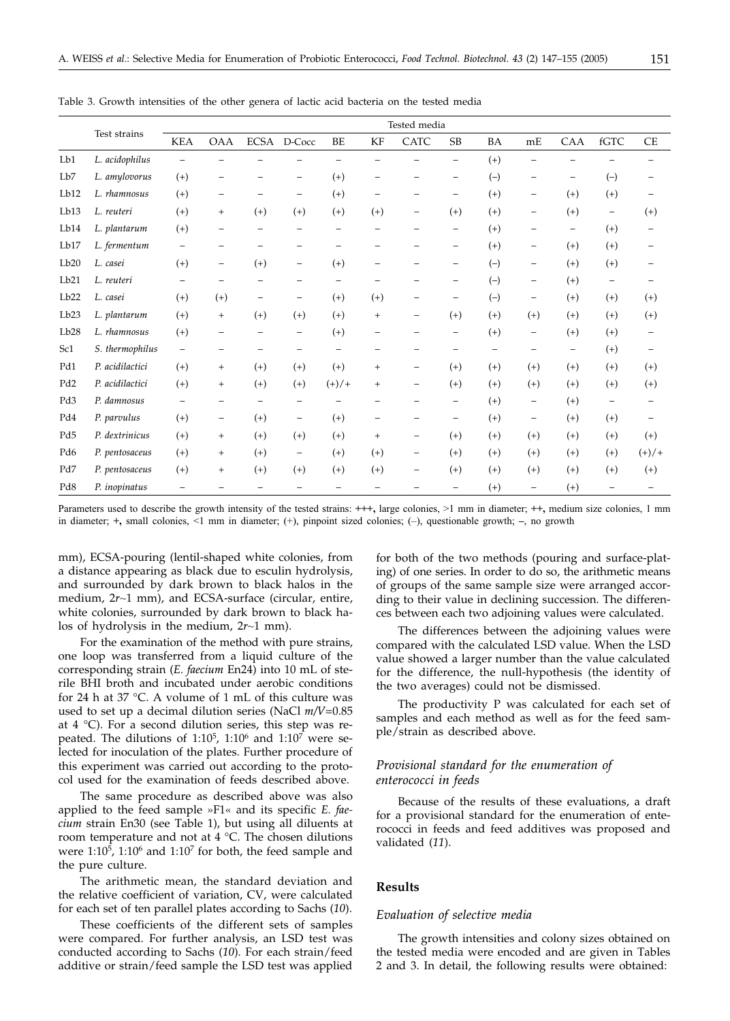|                 |                 | Tested media             |                          |                          |                          |          |                          |                   |                          |                          |                          |                          |                          |                          |
|-----------------|-----------------|--------------------------|--------------------------|--------------------------|--------------------------|----------|--------------------------|-------------------|--------------------------|--------------------------|--------------------------|--------------------------|--------------------------|--------------------------|
|                 | Test strains    | <b>KEA</b>               | <b>OAA</b>               |                          | ECSA D-Cocc              | BE       | KF                       | CATC              | <b>SB</b>                | BA                       | mE                       | CAA                      | $\operatorname{fGTC}$    | CE                       |
| Lb1             | L. acidophilus  | $\overline{\phantom{0}}$ |                          |                          |                          |          |                          |                   | -                        | $(+)$                    |                          |                          |                          |                          |
| Lb7             | L. amylovorus   | $(+)$                    | $\overline{\phantom{0}}$ |                          | $\qquad \qquad -$        | $(+)$    | $\qquad \qquad -$        |                   | $\overline{\phantom{m}}$ | $(-)$                    | $\overline{\phantom{m}}$ | -                        | $(-)$                    |                          |
| Lb12            | L. rhamnosus    | $(+)$                    | $\overline{\phantom{0}}$ |                          | $\qquad \qquad -$        | $(+)$    | -                        |                   | -                        | $(+)$                    | $\overline{\phantom{m}}$ | $(+)$                    | $(+)$                    |                          |
| Lb13            | L. reuteri      | $(+)$                    | $+$                      | $(+)$                    | $(+)$                    | $(+)$    | $(+)$                    | -                 | $(+)$                    | $(+)$                    | $\qquad \qquad -$        | $(+)$                    | $\overline{\phantom{a}}$ | $(+)$                    |
| Lb14            | L. plantarum    | $(+)$                    | $\overline{\phantom{0}}$ | $\qquad \qquad -$        | $\overline{\phantom{0}}$ | -        | $\overline{\phantom{0}}$ | -                 | -                        | $(+)$                    | $\overline{\phantom{m}}$ | $\overline{\phantom{0}}$ | $(+)$                    | $\overline{\phantom{m}}$ |
| Lb17            | L. fermentum    | $\overline{\phantom{m}}$ |                          |                          |                          |          |                          |                   | -                        | $(+)$                    | -                        | $(+)$                    | $(+)$                    |                          |
| Lb20            | L. casei        | $(+)$                    | $\qquad \qquad -$        | $(+)$                    | $\overline{\phantom{m}}$ | $(+)$    | -                        |                   | -                        | $(-)$                    | $\overline{\phantom{m}}$ | $(+)$                    | $(+)$                    |                          |
| Lb21            | L. reuteri      | $\qquad \qquad -$        | $\overline{\phantom{0}}$ | $\overline{\phantom{0}}$ | $\overline{\phantom{0}}$ | -        | -                        |                   | -                        | $(-)$                    | $\overline{\phantom{m}}$ | $(+)$                    | $\overline{\phantom{m}}$ |                          |
| Lb22            | L. casei        | $(+)$                    | $^{(+)}$                 | $\qquad \qquad -$        | $\qquad \qquad -$        | $(+)$    | $(+)$                    | -                 | -                        | $(-)$                    | $\qquad \qquad -$        | $(+)$                    | $(+)$                    | $^{(+)}$                 |
| Lb23            | L. plantarum    | $(+)$                    | $+$                      | $(+)$                    | $(+)$                    | $(+)$    | $^{+}$                   | -                 | $^{(+)}$                 | $(+)$                    | $^{(+)}$                 | $(+)$                    | $(+)$                    | $^{(+)}$                 |
| Lb28            | L. rhamnosus    | $(+)$                    | -                        |                          | $\overline{\phantom{0}}$ | $^{(+)}$ | -                        |                   | -                        | $(+)$                    | $\overline{\phantom{m}}$ | $^{(+)}$                 | $(+)$                    | -                        |
| Sc1             | S. thermophilus | $\qquad \qquad -$        | -                        | -                        | $\qquad \qquad -$        | -        | $\qquad \qquad -$        | -                 | -                        | $\overline{\phantom{0}}$ | $\overline{\phantom{m}}$ | $\overline{\phantom{m}}$ | $(+)$                    | $\qquad \qquad -$        |
| Pd1             | P. acidilactici | $(+)$                    | $^{+}$                   | $(+)$                    | $(+)$                    | $(+)$    | $^{+}$                   | -                 | $(+)$                    | $(+)$                    | $(+)$                    | $(+)$                    | $(+)$                    | $(+)$                    |
| Pd <sub>2</sub> | P. acidilactici | $(+)$                    | $+$                      | $(+)$                    | $(+)$                    | $(+)/+$  | $^{+}$                   | -                 | $(+)$                    | $(+)$                    | $^{(+)}$                 | $(+)$                    | $(+)$                    | $^{(+)}$                 |
| Pd <sub>3</sub> | P. damnosus     | $\overline{\phantom{a}}$ | -                        | -                        | $\overline{\phantom{m}}$ | -        | -                        |                   | $\overline{\phantom{m}}$ | $(+)$                    | $\overline{\phantom{m}}$ | $(+)$                    | $\qquad \qquad -$        |                          |
| Pd4             | P. parvulus     | $(+)$                    | $\qquad \qquad -$        | $(+)$                    | $\qquad \qquad -$        | $(+)$    | -                        |                   | $\overline{\phantom{m}}$ | $(+)$                    | $\qquad \qquad -$        | $^{(+)}$                 | $(+)$                    |                          |
| Pd5             | P. dextrinicus  | $(+)$                    | $\qquad \qquad +$        | $(+)$                    | $(+)$                    | $(+)$    | $^{+}$                   | -                 | $(+)$                    | $(+)$                    | $(+)$                    | $(+)$                    | $(+)$                    | $^{(+)}$                 |
| Pd6             | P. pentosaceus  | $(+)$                    | $^{+}$                   | $(+)$                    | $\qquad \qquad -$        | $(+)$    | $(+)$                    | $\qquad \qquad -$ | $^{(+)}$                 | $(+)$                    | $^{(+)}$                 | $(+)$                    | $(+)$                    | $(+)/+$                  |
| Pd7             | P. pentosaceus  | $(+)$                    | $^{+}$                   | $(+)$                    | $(+)$                    | $(+)$    | $(+)$                    | -                 | $(+)$                    | $(+)$                    | $^{(+)}$                 | $(+)$                    | $(+)$                    | $^{(+)}$                 |
| Pd8             | P. inopinatus   | $\overline{\phantom{0}}$ |                          | -                        |                          |          |                          |                   | -                        | $(+)$                    | $\overline{\phantom{m}}$ | $^{(+)}$                 | $\overline{\phantom{m}}$ |                          |

Table 3. Growth intensities of the other genera of lactic acid bacteria on the tested media

Parameters used to describe the growth intensity of the tested strains: **+++,** large colonies, >1 mm in diameter; **++,** medium size colonies, 1 mm in diameter; **+,** small colonies, <1 mm in diameter; (+), pinpoint sized colonies; (–), questionable growth; **–**, no growth

mm), ECSA-pouring (lentil-shaped white colonies, from a distance appearing as black due to esculin hydrolysis, and surrounded by dark brown to black halos in the medium, 2*r*~1 mm), and ECSA-surface (circular, entire, white colonies, surrounded by dark brown to black halos of hydrolysis in the medium, 2*r*~1 mm).

For the examination of the method with pure strains, one loop was transferred from a liquid culture of the corresponding strain (*E. faecium* En24) into 10 mL of sterile BHI broth and incubated under aerobic conditions for 24 h at 37 °C. A volume of 1 mL of this culture was used to set up a decimal dilution series (NaCl *m/V*=0.85 at 4 °C). For a second dilution series, this step was repeated. The dilutions of 1:10<sup>5</sup>, 1:10<sup>6</sup> and 1:10<sup>7</sup> were selected for inoculation of the plates. Further procedure of this experiment was carried out according to the protocol used for the examination of feeds described above.

The same procedure as described above was also applied to the feed sample »F1« and its specific *E. faecium* strain En30 (see Table 1), but using all diluents at room temperature and not at 4 °C. The chosen dilutions were  $1:10^5$ ,  $1:10^6$  and  $1:10^7$  for both, the feed sample and the pure culture.

The arithmetic mean, the standard deviation and the relative coefficient of variation, CV, were calculated for each set of ten parallel plates according to Sachs (*10*).

These coefficients of the different sets of samples were compared. For further analysis, an LSD test was conducted according to Sachs (*10*). For each strain/feed additive or strain/feed sample the LSD test was applied for both of the two methods (pouring and surface-plating) of one series. In order to do so, the arithmetic means of groups of the same sample size were arranged according to their value in declining succession. The differences between each two adjoining values were calculated.

The differences between the adjoining values were compared with the calculated LSD value. When the LSD value showed a larger number than the value calculated for the difference, the null-hypothesis (the identity of the two averages) could not be dismissed.

The productivity P was calculated for each set of samples and each method as well as for the feed sample/strain as described above.

### *Provisional standard for the enumeration of enterococci in feeds*

Because of the results of these evaluations, a draft for a provisional standard for the enumeration of enterococci in feeds and feed additives was proposed and validated (*11*).

#### **Results**

#### *Evaluation of selective media*

The growth intensities and colony sizes obtained on the tested media were encoded and are given in Tables 2 and 3. In detail, the following results were obtained: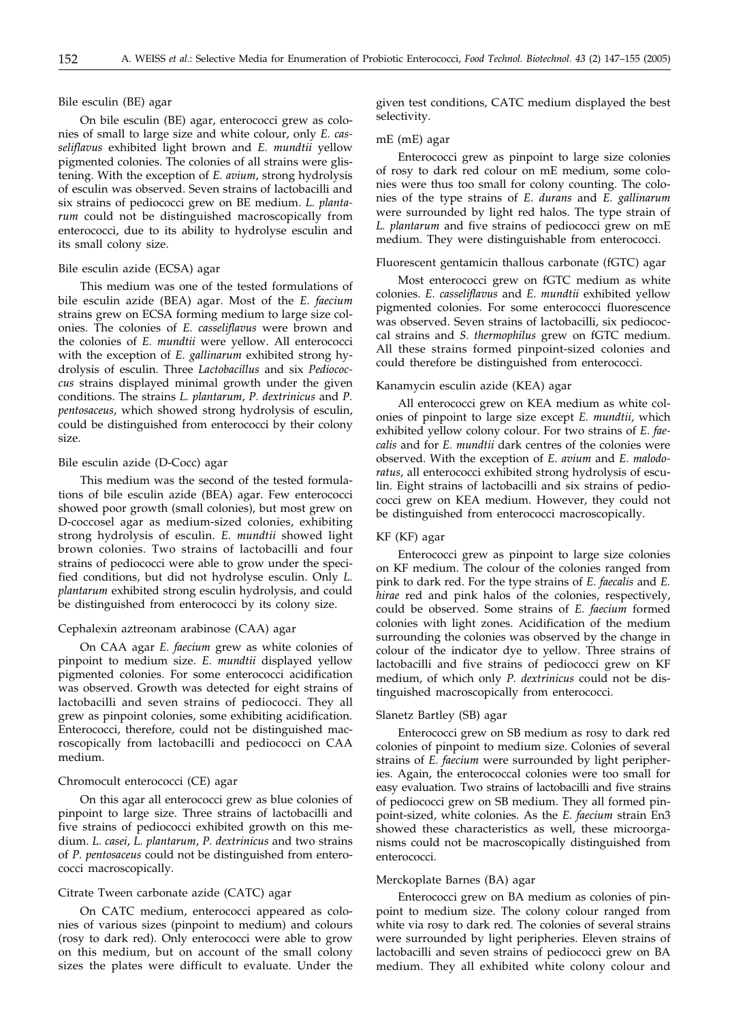#### Bile esculin (BE) agar

On bile esculin (BE) agar, enterococci grew as colonies of small to large size and white colour, only *E. casseliflavus* exhibited light brown and *E. mundtii* yellow pigmented colonies. The colonies of all strains were glistening. With the exception of *E. avium*, strong hydrolysis of esculin was observed. Seven strains of lactobacilli and six strains of pediococci grew on BE medium. *L. plantarum* could not be distinguished macroscopically from enterococci, due to its ability to hydrolyse esculin and its small colony size.

#### Bile esculin azide (ECSA) agar

This medium was one of the tested formulations of bile esculin azide (BEA) agar. Most of the *E. faecium* strains grew on ECSA forming medium to large size colonies. The colonies of *E. casseliflavus* were brown and the colonies of *E. mundtii* were yellow. All enterococci with the exception of *E. gallinarum* exhibited strong hydrolysis of esculin. Three *Lactobacillus* and six *Pediococcus* strains displayed minimal growth under the given conditions. The strains *L. plantarum*, *P. dextrinicus* and *P. pentosaceus*, which showed strong hydrolysis of esculin, could be distinguished from enterococci by their colony size.

#### Bile esculin azide (D-Cocc) agar

This medium was the second of the tested formulations of bile esculin azide (BEA) agar. Few enterococci showed poor growth (small colonies), but most grew on D-coccosel agar as medium-sized colonies, exhibiting strong hydrolysis of esculin. *E. mundtii* showed light brown colonies. Two strains of lactobacilli and four strains of pediococci were able to grow under the specified conditions, but did not hydrolyse esculin. Only *L. plantarum* exhibited strong esculin hydrolysis, and could be distinguished from enterococci by its colony size.

#### Cephalexin aztreonam arabinose (CAA) agar

On CAA agar *E. faecium* grew as white colonies of pinpoint to medium size. *E. mundtii* displayed yellow pigmented colonies. For some enterococci acidification was observed. Growth was detected for eight strains of lactobacilli and seven strains of pediococci. They all grew as pinpoint colonies, some exhibiting acidification. Enterococci, therefore, could not be distinguished macroscopically from lactobacilli and pediococci on CAA medium.

#### Chromocult enterococci (CE) agar

On this agar all enterococci grew as blue colonies of pinpoint to large size. Three strains of lactobacilli and five strains of pediococci exhibited growth on this medium. *L. casei*, *L. plantarum*, *P. dextrinicus* and two strains of *P. pentosaceus* could not be distinguished from enterococci macroscopically.

#### Citrate Tween carbonate azide (CATC) agar

On CATC medium, enterococci appeared as colonies of various sizes (pinpoint to medium) and colours (rosy to dark red). Only enterococci were able to grow on this medium, but on account of the small colony sizes the plates were difficult to evaluate. Under the given test conditions, CATC medium displayed the best selectivity.

#### mE (mE) agar

Enterococci grew as pinpoint to large size colonies of rosy to dark red colour on mE medium, some colonies were thus too small for colony counting. The colonies of the type strains of *E. durans* and *E. gallinarum* were surrounded by light red halos. The type strain of *L. plantarum* and five strains of pediococci grew on mE medium. They were distinguishable from enterococci.

#### Fluorescent gentamicin thallous carbonate (fGTC) agar

Most enterococci grew on fGTC medium as white colonies. *E. casseliflavus* and *E. mundtii* exhibited yellow pigmented colonies. For some enterococci fluorescence was observed. Seven strains of lactobacilli, six pediococcal strains and *S. thermophilus* grew on fGTC medium. All these strains formed pinpoint-sized colonies and could therefore be distinguished from enterococci.

#### Kanamycin esculin azide (KEA) agar

All enterococci grew on KEA medium as white colonies of pinpoint to large size except *E. mundtii*, which exhibited yellow colony colour. For two strains of *E. faecalis* and for *E. mundtii* dark centres of the colonies were observed. With the exception of *E. avium* and *E. malodoratus*, all enterococci exhibited strong hydrolysis of esculin. Eight strains of lactobacilli and six strains of pediococci grew on KEA medium. However, they could not be distinguished from enterococci macroscopically.

#### KF (KF) agar

Enterococci grew as pinpoint to large size colonies on KF medium. The colour of the colonies ranged from pink to dark red. For the type strains of *E. faecalis* and *E. hirae* red and pink halos of the colonies, respectively, could be observed. Some strains of *E. faecium* formed colonies with light zones. Acidification of the medium surrounding the colonies was observed by the change in colour of the indicator dye to yellow. Three strains of lactobacilli and five strains of pediococci grew on KF medium, of which only *P. dextrinicus* could not be distinguished macroscopically from enterococci.

#### Slanetz Bartley (SB) agar

Enterococci grew on SB medium as rosy to dark red colonies of pinpoint to medium size. Colonies of several strains of *E. faecium* were surrounded by light peripheries. Again, the enterococcal colonies were too small for easy evaluation. Two strains of lactobacilli and five strains of pediococci grew on SB medium. They all formed pinpoint-sized, white colonies. As the *E. faecium* strain En3 showed these characteristics as well, these microorganisms could not be macroscopically distinguished from enterococci.

#### Merckoplate Barnes (BA) agar

Enterococci grew on BA medium as colonies of pinpoint to medium size. The colony colour ranged from white via rosy to dark red. The colonies of several strains were surrounded by light peripheries. Eleven strains of lactobacilli and seven strains of pediococci grew on BA medium. They all exhibited white colony colour and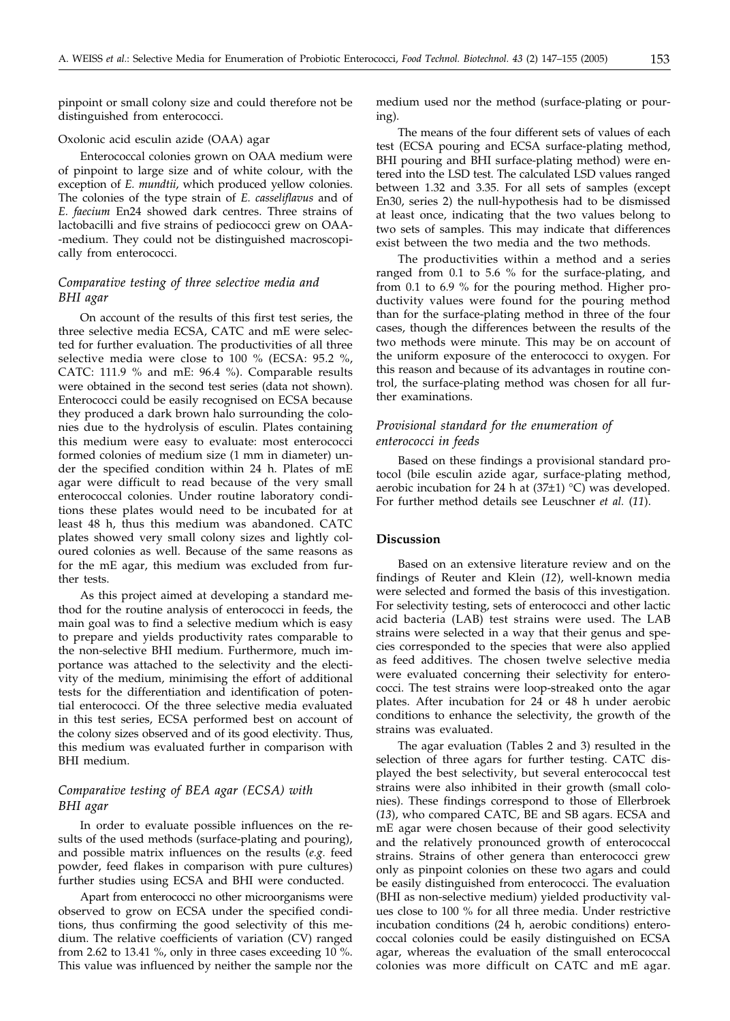pinpoint or small colony size and could therefore not be distinguished from enterococci.

#### Oxolonic acid esculin azide (OAA) agar

Enterococcal colonies grown on OAA medium were of pinpoint to large size and of white colour, with the exception of *E. mundtii*, which produced yellow colonies. The colonies of the type strain of *E. casseliflavus* and of *E. faecium* En24 showed dark centres. Three strains of lactobacilli and five strains of pediococci grew on OAA- -medium. They could not be distinguished macroscopically from enterococci.

### *Comparative testing of three selective media and BHI agar*

On account of the results of this first test series, the three selective media ECSA, CATC and mE were selected for further evaluation. The productivities of all three selective media were close to 100 % (ECSA: 95.2 %, CATC: 111.9 % and mE: 96.4 %). Comparable results were obtained in the second test series (data not shown). Enterococci could be easily recognised on ECSA because they produced a dark brown halo surrounding the colonies due to the hydrolysis of esculin. Plates containing this medium were easy to evaluate: most enterococci formed colonies of medium size (1 mm in diameter) under the specified condition within 24 h. Plates of mE agar were difficult to read because of the very small enterococcal colonies. Under routine laboratory conditions these plates would need to be incubated for at least 48 h, thus this medium was abandoned. CATC plates showed very small colony sizes and lightly coloured colonies as well. Because of the same reasons as for the mE agar, this medium was excluded from further tests.

As this project aimed at developing a standard method for the routine analysis of enterococci in feeds, the main goal was to find a selective medium which is easy to prepare and yields productivity rates comparable to the non-selective BHI medium. Furthermore, much importance was attached to the selectivity and the electivity of the medium, minimising the effort of additional tests for the differentiation and identification of potential enterococci. Of the three selective media evaluated in this test series, ECSA performed best on account of the colony sizes observed and of its good electivity. Thus, this medium was evaluated further in comparison with BHI medium.

### *Comparative testing of BEA agar (ECSA) with BHI agar*

In order to evaluate possible influences on the results of the used methods (surface-plating and pouring), and possible matrix influences on the results (*e.g.* feed powder, feed flakes in comparison with pure cultures) further studies using ECSA and BHI were conducted.

Apart from enterococci no other microorganisms were observed to grow on ECSA under the specified conditions, thus confirming the good selectivity of this medium. The relative coefficients of variation (CV) ranged from 2.62 to 13.41 %, only in three cases exceeding 10 %. This value was influenced by neither the sample nor the

medium used nor the method (surface-plating or pouring).

The means of the four different sets of values of each test (ECSA pouring and ECSA surface-plating method, BHI pouring and BHI surface-plating method) were entered into the LSD test. The calculated LSD values ranged between 1.32 and 3.35. For all sets of samples (except En30, series 2) the null-hypothesis had to be dismissed at least once, indicating that the two values belong to two sets of samples. This may indicate that differences exist between the two media and the two methods.

The productivities within a method and a series ranged from 0.1 to 5.6 % for the surface-plating, and from 0.1 to 6.9 % for the pouring method. Higher productivity values were found for the pouring method than for the surface-plating method in three of the four cases, though the differences between the results of the two methods were minute. This may be on account of the uniform exposure of the enterococci to oxygen. For this reason and because of its advantages in routine control, the surface-plating method was chosen for all further examinations.

### *Provisional standard for the enumeration of enterococci in feeds*

Based on these findings a provisional standard protocol (bile esculin azide agar, surface-plating method, aerobic incubation for 24 h at  $(37\pm1)$  °C) was developed. For further method details see Leuschner *et al.* (*11*).

#### **Discussion**

Based on an extensive literature review and on the findings of Reuter and Klein (*12*), well-known media were selected and formed the basis of this investigation. For selectivity testing, sets of enterococci and other lactic acid bacteria (LAB) test strains were used. The LAB strains were selected in a way that their genus and species corresponded to the species that were also applied as feed additives. The chosen twelve selective media were evaluated concerning their selectivity for enterococci. The test strains were loop-streaked onto the agar plates. After incubation for 24 or 48 h under aerobic conditions to enhance the selectivity, the growth of the strains was evaluated.

The agar evaluation (Tables 2 and 3) resulted in the selection of three agars for further testing. CATC displayed the best selectivity, but several enterococcal test strains were also inhibited in their growth (small colonies). These findings correspond to those of Ellerbroek (*13*), who compared CATC, BE and SB agars. ECSA and mE agar were chosen because of their good selectivity and the relatively pronounced growth of enterococcal strains. Strains of other genera than enterococci grew only as pinpoint colonies on these two agars and could be easily distinguished from enterococci. The evaluation (BHI as non-selective medium) yielded productivity values close to 100 % for all three media. Under restrictive incubation conditions (24 h, aerobic conditions) enterococcal colonies could be easily distinguished on ECSA agar, whereas the evaluation of the small enterococcal colonies was more difficult on CATC and mE agar.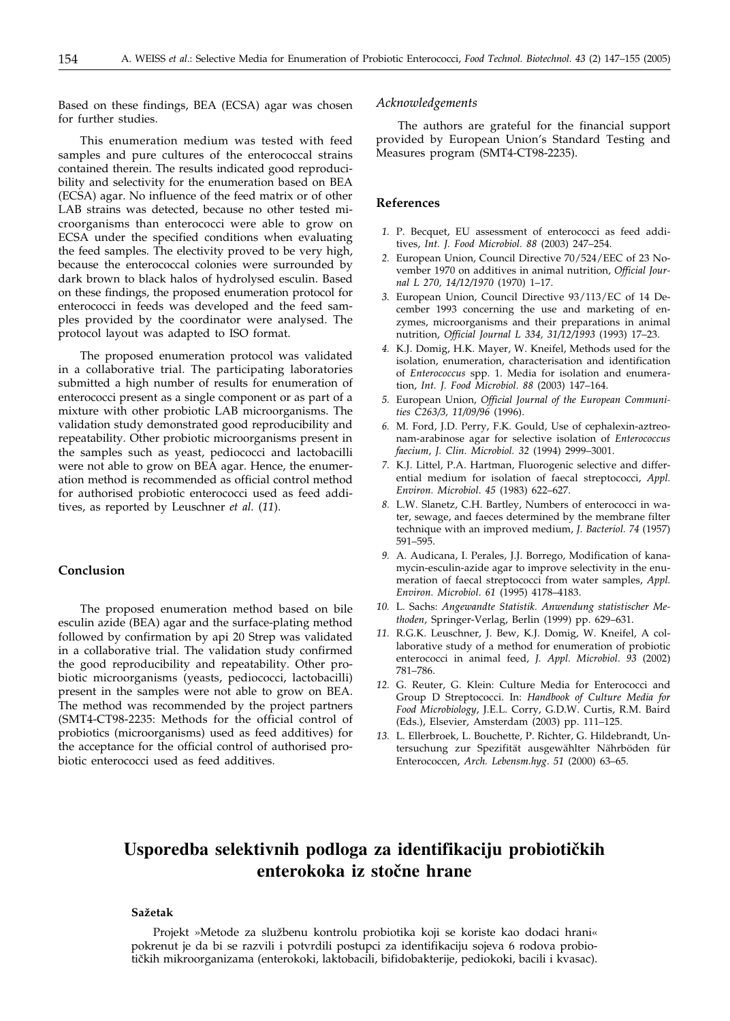Based on these findings, BEA (ECSA) agar was chosen for further studies.

This enumeration medium was tested with feed samples and pure cultures of the enterococcal strains contained therein. The results indicated good reproducibility and selectivity for the enumeration based on BEA (ECSA) agar. No influence of the feed matrix or of other LAB strains was detected, because no other tested microorganisms than enterococci were able to grow on ECSA under the specified conditions when evaluating the feed samples. The electivity proved to be very high, because the enterococcal colonies were surrounded by dark brown to black halos of hydrolysed esculin. Based on these findings, the proposed enumeration protocol for enterococci in feeds was developed and the feed samples provided by the coordinator were analysed. The protocol layout was adapted to ISO format.

The proposed enumeration protocol was validated in a collaborative trial. The participating laboratories submitted a high number of results for enumeration of enterococci present as a single component or as part of a mixture with other probiotic LAB microorganisms. The validation study demonstrated good reproducibility and repeatability. Other probiotic microorganisms present in the samples such as yeast, pediococci and lactobacilli were not able to grow on BEA agar. Hence, the enumeration method is recommended as official control method for authorised probiotic enterococci used as feed additives, as reported by Leuschner *et al.* (*11*).

### **Conclusion**

The proposed enumeration method based on bile esculin azide (BEA) agar and the surface-plating method followed by confirmation by api 20 Strep was validated in a collaborative trial. The validation study confirmed the good reproducibility and repeatability. Other probiotic microorganisms (yeasts, pediococci, lactobacilli) present in the samples were not able to grow on BEA. The method was recommended by the project partners (SMT4-CT98-2235: Methods for the official control of probiotics (microorganisms) used as feed additives) for the acceptance for the official control of authorised probiotic enterococci used as feed additives.

#### *Acknowledgements*

The authors are grateful for the financial support provided by European Union's Standard Testing and Measures program (SMT4-CT98-2235).

#### **References**

- *1.* P. Becquet, EU assessment of enterococci as feed additives, *Int. J. Food Microbiol. 88* (2003) 247–254.
- *2.* European Union, Council Directive 70/524/EEC of 23 November 1970 on additives in animal nutrition, *Official Journal L 270, 14/12/1970* (1970) 1–17.
- *3.* European Union, Council Directive 93/113/EC of 14 December 1993 concerning the use and marketing of enzymes, microorganisms and their preparations in animal nutrition, *Official Journal L 334, 31/12/1993* (1993) 17–23.
- *4.* K.J. Domig, H.K. Mayer, W. Kneifel, Methods used for the isolation, enumeration, characterisation and identification of *Enterococcus* spp. 1. Media for isolation and enumeration, *Int. J. Food Microbiol. 88* (2003) 147–164.
- *5.* European Union, *Official Journal of the European Communities C263/3, 11/09/96* (1996).
- *6.* M. Ford, J.D. Perry, F.K. Gould, Use of cephalexin-aztreonam-arabinose agar for selective isolation of *Enterococcus faecium*, *J. Clin. Microbiol. 32* (1994) 2999–3001.
- *7.* K.J. Littel, P.A. Hartman, Fluorogenic selective and differential medium for isolation of faecal streptococci, *Appl. Environ. Microbiol*. *45* (1983) 622–627.
- *8.* L.W. Slanetz, C.H. Bartley, Numbers of enterococci in water, sewage, and faeces determined by the membrane filter technique with an improved medium, *J. Bacteriol. 74* (1957) 591–595.
- *9.* A. Audicana, I. Perales, J.J. Borrego, Modification of kanamycin-esculin-azide agar to improve selectivity in the enumeration of faecal streptococci from water samples, *Appl. Environ. Microbiol*. *61* (1995) 4178–4183.
- *10.* L. Sachs: *Angewandte Statistik. Anwendung statistischer Methoden*, Springer-Verlag, Berlin (1999) pp. 629–631.
- *11.* R.G.K. Leuschner, J. Bew, K.J. Domig, W. Kneifel, A collaborative study of a method for enumeration of probiotic enterococci in animal feed, *J. Appl. Microbiol*. *93* (2002) 781–786.
- *12.* G. Reuter, G. Klein: Culture Media for Enterococci and Group D Streptococci. In: *Handbook of Culture Media for Food Microbiology*, J.E.L. Corry, G.D.W. Curtis, R.M. Baird (Eds.), Elsevier, Amsterdam (2003) pp. 111–125.
- *13.* L. Ellerbroek, L. Bouchette, P. Richter, G. Hildebrandt, Untersuchung zur Spezifität ausgewählter Nährböden für Enterococcen, *Arch. Lebensm.hyg*. *51* (2000) 63–65.

## Usporedba selektivnih podloga za identifikaciju probiotičkih **enterokoka iz stočne hrane**

### **Sa`etak**

Projekt »Metode za službenu kontrolu probiotika koji se koriste kao dodaci hrani« pokrenut je da bi se razvili i potvrdili postupci za identifikaciju sojeva 6 rodova probiotičkih mikroorganizama (enterokoki, laktobacili, bifidobakterije, pediokoki, bacili i kvasac).